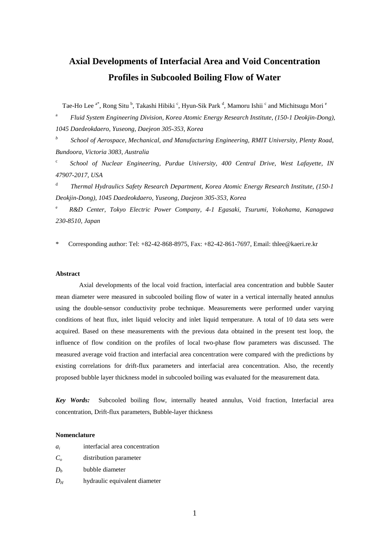# **Axial Developments of Interfacial Area and Void Concentration Profiles in Subcooled Boiling Flow of Water**

Tae-Ho Lee <sup>a\*</sup>, Rong Situ <sup>b</sup>, Takashi Hibiki <sup>c</sup>, Hyun-Sik Park <sup>d</sup>, Mamoru Ishii <sup>c</sup> and Michitsugu Mori <sup>e</sup>

a *Fluid System Engineering Division, Korea Atomic Energy Research Institute, (150-1 Deokjin-Dong), 1045 Daedeokdaero, Yuseong, Daejeon 305-353, Korea*

*b School of Aerospace, Mechanical, and Manufacturing Engineering, RMIT University, Plenty Road, Bundoora, Victoria 3083, Australia* 

c *School of Nuclear Engineering, Purdue University, 400 Central Drive, West Lafayette, IN 47907-2017, USA* 

d *Thermal Hydraulics Safety Research Department, Korea Atomic Energy Research Institute, (150-1 Deokjin-Dong), 1045 Daedeokdaero, Yuseong, Daejeon 305-353, Korea* 

e *R&D Center, Tokyo Electric Power Company, 4-1 Egasaki, Tsurumi, Yokohama, Kanagawa 230-8510, Japan* 

\* Corresponding author: Tel: +82-42-868-8975, Fax: +82-42-861-7697, Email: thlee@kaeri.re.kr

# **Abstract**

Axial developments of the local void fraction, interfacial area concentration and bubble Sauter mean diameter were measured in subcooled boiling flow of water in a vertical internally heated annulus using the double-sensor conductivity probe technique. Measurements were performed under varying conditions of heat flux, inlet liquid velocity and inlet liquid temperature. A total of 10 data sets were acquired. Based on these measurements with the previous data obtained in the present test loop, the influence of flow condition on the profiles of local two-phase flow parameters was discussed. The measured average void fraction and interfacial area concentration were compared with the predictions by existing correlations for drift-flux parameters and interfacial area concentration. Also, the recently proposed bubble layer thickness model in subcooled boiling was evaluated for the measurement data.

*Key Words:* Subcooled boiling flow, internally heated annulus, Void fraction, Interfacial area concentration, Drift-flux parameters, Bubble-layer thickness

## **Nomenclature**

| $a_i$ |  | interfacial area concentration |
|-------|--|--------------------------------|
|       |  |                                |

- *C<sup>o</sup>* distribution parameter
- $D<sub>b</sub>$  **bubble diameter**
- $D_H$  hydraulic equivalent diameter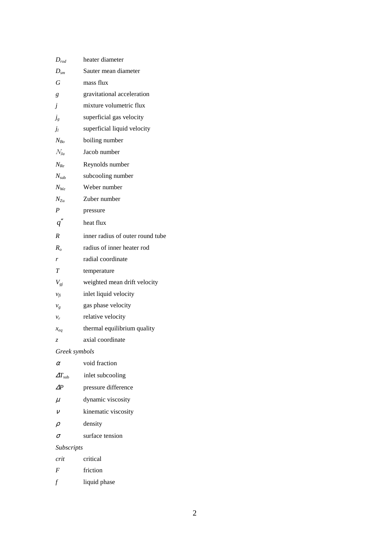| $D_{rod}$            | heater diameter                  |
|----------------------|----------------------------------|
| $D_{\rm sm}$         | Sauter mean diameter             |
| G                    | mass flux                        |
| g                    | gravitational acceleration       |
| $\dot{J}$            | mixture volumetric flux          |
| $j_g$                | superficial gas velocity         |
| $j_l$                | superficial liquid velocity      |
| $N_{Bo}$             | boiling number                   |
| $N_{Ia}$             | Jacob number                     |
| $N_{Re}$             | Reynolds number                  |
| $N_{\rm sub}$        | subcooling number                |
| $N_{We}$             | Weber number                     |
| $N_{Zu}$             | Zuber number                     |
| $\boldsymbol{P}$     | pressure                         |
| q''                  | heat flux                        |
| $\boldsymbol{R}$     | inner radius of outer round tube |
| $R_o$                | radius of inner heater rod       |
| r                    | radial coordinate                |
| T                    | temperature                      |
| $V_{gj}$             | weighted mean drift velocity     |
| $v_{fi}$             | inlet liquid velocity            |
| $v_g$                | gas phase velocity               |
| $v_r$                | relative velocity                |
| $x_{eq}$             | thermal equilibrium quality      |
| Z                    | axial coordinate                 |
| Greek symbols        |                                  |
| $\alpha$             | void fraction                    |
| $\Delta T_{\rm sub}$ | inlet subcooling                 |
| ΔP                   | pressure difference              |
| $\mu$                | dynamic viscosity                |
| $\mathcal{V}$        | kinematic viscosity              |
| $\rho$               | density                          |
| $\sigma$             | surface tension                  |
| Subscripts           |                                  |
| crit                 | critical                         |
| F                    | friction                         |
| $\sqrt{ }$           | liquid phase                     |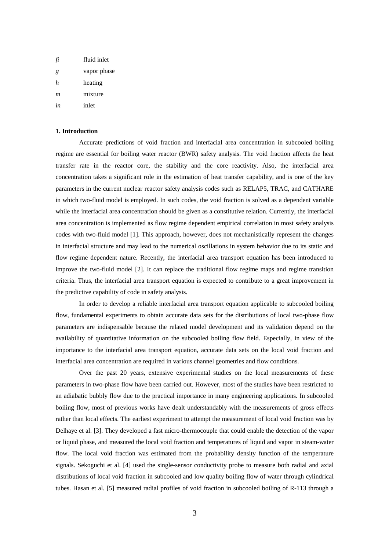| fi | fluid inlet |
|----|-------------|
| g  | vapor phase |
| h  | heating     |
| m  | mixture     |
| in | inlet       |

## **1. Introduction**

Accurate predictions of void fraction and interfacial area concentration in subcooled boiling regime are essential for boiling water reactor (BWR) safety analysis. The void fraction affects the heat transfer rate in the reactor core, the stability and the core reactivity. Also, the interfacial area concentration takes a significant role in the estimation of heat transfer capability, and is one of the key parameters in the current nuclear reactor safety analysis codes such as RELAP5, TRAC, and CATHARE in which two-fluid model is employed. In such codes, the void fraction is solved as a dependent variable while the interfacial area concentration should be given as a constitutive relation. Currently, the interfacial area concentration is implemented as flow regime dependent empirical correlation in most safety analysis codes with two-fluid model [1]. This approach, however, does not mechanistically represent the changes in interfacial structure and may lead to the numerical oscillations in system behavior due to its static and flow regime dependent nature. Recently, the interfacial area transport equation has been introduced to improve the two-fluid model [2]. It can replace the traditional flow regime maps and regime transition criteria. Thus, the interfacial area transport equation is expected to contribute to a great improvement in the predictive capability of code in safety analysis.

In order to develop a reliable interfacial area transport equation applicable to subcooled boiling flow, fundamental experiments to obtain accurate data sets for the distributions of local two-phase flow parameters are indispensable because the related model development and its validation depend on the availability of quantitative information on the subcooled boiling flow field. Especially, in view of the importance to the interfacial area transport equation, accurate data sets on the local void fraction and interfacial area concentration are required in various channel geometries and flow conditions.

Over the past 20 years, extensive experimental studies on the local measurements of these parameters in two-phase flow have been carried out. However, most of the studies have been restricted to an adiabatic bubbly flow due to the practical importance in many engineering applications. In subcooled boiling flow, most of previous works have dealt understandably with the measurements of gross effects rather than local effects. The earliest experiment to attempt the measurement of local void fraction was by Delhaye et al. [3]. They developed a fast micro-thermocouple that could enable the detection of the vapor or liquid phase, and measured the local void fraction and temperatures of liquid and vapor in steam-water flow. The local void fraction was estimated from the probability density function of the temperature signals. Sekoguchi et al. [4] used the single-sensor conductivity probe to measure both radial and axial distributions of local void fraction in subcooled and low quality boiling flow of water through cylindrical tubes. Hasan et al. [5] measured radial profiles of void fraction in subcooled boiling of R-113 through a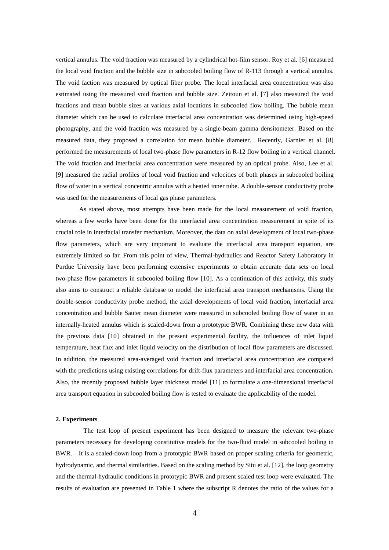vertical annulus. The void fraction was measured by a cylindrical hot-film sensor. Roy et al. [6] measured the local void fraction and the bubble size in subcooled boiling flow of R-113 through a vertical annulus. The void faction was measured by optical fiber probe. The local interfacial area concentration was also estimated using the measured void fraction and bubble size. Zeitoun et al. [7] also measured the void fractions and mean bubble sizes at various axial locations in subcooled flow boiling. The bubble mean diameter which can be used to calculate interfacial area concentration was determined using high-speed photography, and the void fraction was measured by a single-beam gamma densitometer. Based on the measured data, they proposed a correlation for mean bubble diameter. Recently, Garnier et al. [8] performed the measurements of local two-phase flow parameters in R-12 flow boiling in a vertical channel. The void fraction and interfacial area concentration were measured by an optical probe. Also, Lee et al. [9] measured the radial profiles of local void fraction and velocities of both phases in subcooled boiling flow of water in a vertical concentric annulus with a heated inner tube. A double-sensor conductivity probe was used for the measurements of local gas phase parameters.

As stated above, most attempts have been made for the local measurement of void fraction, whereas a few works have been done for the interfacial area concentration measurement in spite of its crucial role in interfacial transfer mechanism. Moreover, the data on axial development of local two-phase flow parameters, which are very important to evaluate the interfacial area transport equation, are extremely limited so far. From this point of view, Thermal-hydraulics and Reactor Safety Laboratory in Purdue University have been performing extensive experiments to obtain accurate data sets on local two-phase flow parameters in subcooled boiling flow [10]. As a continuation of this activity, this study also aims to construct a reliable database to model the interfacial area transport mechanisms. Using the double-sensor conductivity probe method, the axial developments of local void fraction, interfacial area concentration and bubble Sauter mean diameter were measured in subcooled boiling flow of water in an internally-heated annulus which is scaled-down from a prototypic BWR. Combining these new data with the previous data [10] obtained in the present experimental facility, the influences of inlet liquid temperature, heat flux and inlet liquid velocity on the distribution of local flow parameters are discussed. In addition, the measured area-averaged void fraction and interfacial area concentration are compared with the predictions using existing correlations for drift-flux parameters and interfacial area concentration. Also, the recently proposed bubble layer thickness model [11] to formulate a one-dimensional interfacial area transport equation in subcooled boiling flow is tested to evaluate the applicability of the model.

## **2. Experiments**

The test loop of present experiment has been designed to measure the relevant two-phase parameters necessary for developing constitutive models for the two-fluid model in subcooled boiling in BWR. It is a scaled-down loop from a prototypic BWR based on proper scaling criteria for geometric, hydrodynamic, and thermal similarities. Based on the scaling method by Situ et al. [12], the loop geometry and the thermal-hydraulic conditions in prototypic BWR and present scaled test loop were evaluated. The results of evaluation are presented in Table 1 where the subscript R denotes the ratio of the values for a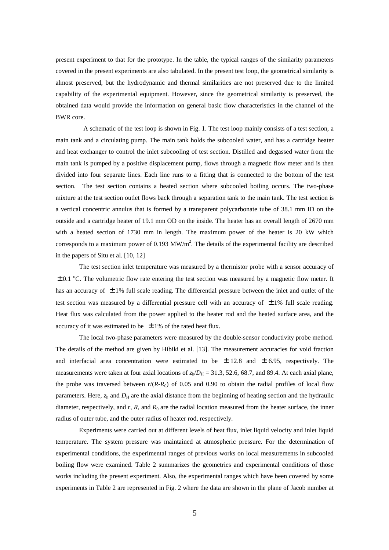present experiment to that for the prototype. In the table, the typical ranges of the similarity parameters covered in the present experiments are also tabulated. In the present test loop, the geometrical similarity is almost preserved, but the hydrodynamic and thermal similarities are not preserved due to the limited capability of the experimental equipment. However, since the geometrical similarity is preserved, the obtained data would provide the information on general basic flow characteristics in the channel of the BWR core.

A schematic of the test loop is shown in Fig. 1. The test loop mainly consists of a test section, a main tank and a circulating pump. The main tank holds the subcooled water, and has a cartridge heater and heat exchanger to control the inlet subcooling of test section. Distilled and degassed water from the main tank is pumped by a positive displacement pump, flows through a magnetic flow meter and is then divided into four separate lines. Each line runs to a fitting that is connected to the bottom of the test section. The test section contains a heated section where subcooled boiling occurs. The two-phase mixture at the test section outlet flows back through a separation tank to the main tank. The test section is a vertical concentric annulus that is formed by a transparent polycarbonate tube of 38.1 mm ID on the outside and a cartridge heater of 19.1 mm OD on the inside. The heater has an overall length of 2670 mm with a heated section of 1730 mm in length. The maximum power of the heater is 20 kW which corresponds to a maximum power of  $0.193 \text{ MW/m}^2$ . The details of the experimental facility are described in the papers of Situ et al. [10, 12]

The test section inlet temperature was measured by a thermistor probe with a sensor accuracy of  $\pm$  0.1 °C. The volumetric flow rate entering the test section was measured by a magnetic flow meter. It has an accuracy of  $\pm 1\%$  full scale reading. The differential pressure between the inlet and outlet of the test section was measured by a differential pressure cell with an accuracy of  $\pm 1\%$  full scale reading. Heat flux was calculated from the power applied to the heater rod and the heated surface area, and the accuracy of it was estimated to be  $\pm$  1% of the rated heat flux.

The local two-phase parameters were measured by the double-sensor conductivity probe method. The details of the method are given by Hibiki et al. [13]. The measurement accuracies for void fraction and interfacial area concentration were estimated to be  $\pm$  12.8 and  $\pm$  6.95, respectively. The measurements were taken at four axial locations of  $z_h/D_H = 31.3$ , 52.6, 68.7, and 89.4. At each axial plane, the probe was traversed between  $r/(R-R_0)$  of 0.05 and 0.90 to obtain the radial profiles of local flow parameters. Here,  $z<sub>h</sub>$  and  $D<sub>H</sub>$  are the axial distance from the beginning of heating section and the hydraulic diameter, respectively, and  $r$ ,  $R$ , and  $R_0$  are the radial location measured from the heater surface, the inner radius of outer tube, and the outer radius of heater rod, respectively.

Experiments were carried out at different levels of heat flux, inlet liquid velocity and inlet liquid temperature. The system pressure was maintained at atmospheric pressure. For the determination of experimental conditions, the experimental ranges of previous works on local measurements in subcooled boiling flow were examined. Table 2 summarizes the geometries and experimental conditions of those works including the present experiment. Also, the experimental ranges which have been covered by some experiments in Table 2 are represented in Fig. 2 where the data are shown in the plane of Jacob number at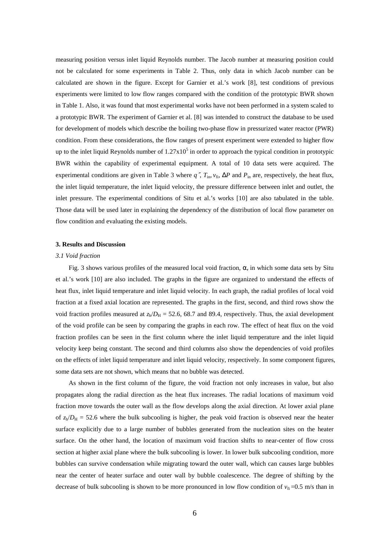measuring position versus inlet liquid Reynolds number. The Jacob number at measuring position could not be calculated for some experiments in Table 2. Thus, only data in which Jacob number can be calculated are shown in the figure. Except for Garnier et al.'s work [8], test conditions of previous experiments were limited to low flow ranges compared with the condition of the prototypic BWR shown in Table 1. Also, it was found that most experimental works have not been performed in a system scaled to a prototypic BWR. The experiment of Garnier et al. [8] was intended to construct the database to be used for development of models which describe the boiling two-phase flow in pressurized water reactor (PWR) condition. From these considerations, the flow ranges of present experiment were extended to higher flow up to the inlet liquid Reynolds number of  $1.27 \times 10^5$  in order to approach the typical condition in prototypic BWR within the capability of experimental equipment. A total of 10 data sets were acquired. The experimental conditions are given in Table 3 where  $q''$ ,  $T_{in}$ ,  $v_f$ ,  $\Delta P$  and  $P_{in}$  are, respectively, the heat flux, the inlet liquid temperature, the inlet liquid velocity, the pressure difference between inlet and outlet, the inlet pressure. The experimental conditions of Situ et al.'s works [10] are also tabulated in the table. Those data will be used later in explaining the dependency of the distribution of local flow parameter on flow condition and evaluating the existing models.

# **3. Results and Discussion**

#### *3.1 Void fraction*

Fig. 3 shows various profiles of the measured local void fraction,  $\alpha$ , in which some data sets by Situ et al.'s work [10] are also included. The graphs in the figure are organized to understand the effects of heat flux, inlet liquid temperature and inlet liquid velocity. In each graph, the radial profiles of local void fraction at a fixed axial location are represented. The graphs in the first, second, and third rows show the void fraction profiles measured at  $z_h/D_H = 52.6$ , 68.7 and 89.4, respectively. Thus, the axial development of the void profile can be seen by comparing the graphs in each row. The effect of heat flux on the void fraction profiles can be seen in the first column where the inlet liquid temperature and the inlet liquid velocity keep being constant. The second and third columns also show the dependencies of void profiles on the effects of inlet liquid temperature and inlet liquid velocity, respectively. In some component figures, some data sets are not shown, which means that no bubble was detected.

As shown in the first column of the figure, the void fraction not only increases in value, but also propagates along the radial direction as the heat flux increases. The radial locations of maximum void fraction move towards the outer wall as the flow develops along the axial direction. At lower axial plane of  $z_h/D_H = 52.6$  where the bulk subcooling is higher, the peak void fraction is observed near the heater surface explicitly due to a large number of bubbles generated from the nucleation sites on the heater surface. On the other hand, the location of maximum void fraction shifts to near-center of flow cross section at higher axial plane where the bulk subcooling is lower. In lower bulk subcooling condition, more bubbles can survive condensation while migrating toward the outer wall, which can causes large bubbles near the center of heater surface and outer wall by bubble coalescence. The degree of shifting by the decrease of bulk subcooling is shown to be more pronounced in low flow condition of  $v_f = 0.5$  m/s than in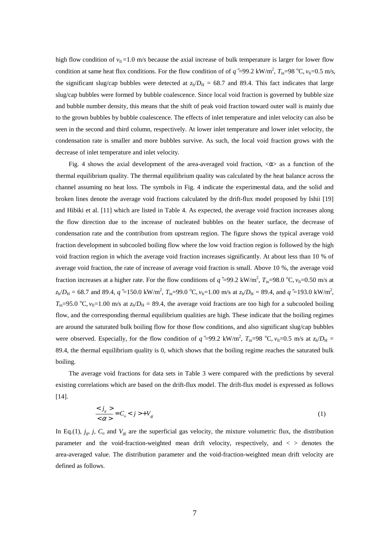high flow condition of  $v_f = 1.0$  m/s because the axial increase of bulk temperature is larger for lower flow condition at same heat flux conditions. For the flow condition of of  $q''=99.2 \text{ kW/m}^2$ ,  $T_{\text{in}}=98 \text{ °C}$ ,  $v_{\text{fi}}=0.5 \text{ m/s}$ , the significant slug/cap bubbles were detected at  $z_h/D_H = 68.7$  and 89.4. This fact indicates that large slug/cap bubbles were formed by bubble coalescence. Since local void fraction is governed by bubble size and bubble number density, this means that the shift of peak void fraction toward outer wall is mainly due to the grown bubbles by bubble coalescence. The effects of inlet temperature and inlet velocity can also be seen in the second and third column, respectively. At lower inlet temperature and lower inlet velocity, the condensation rate is smaller and more bubbles survive. As such, the local void fraction grows with the decrease of inlet temperature and inlet velocity.

Fig. 4 shows the axial development of the area-averaged void fraction,  $\langle \alpha \rangle$  as a function of the thermal equilibrium quality. The thermal equilibrium quality was calculated by the heat balance across the channel assuming no heat loss. The symbols in Fig. 4 indicate the experimental data, and the solid and broken lines denote the average void fractions calculated by the drift-flux model proposed by Ishii [19] and Hibiki et al. [11] which are listed in Table 4. As expected, the average void fraction increases along the flow direction due to the increase of nucleated bubbles on the heater surface, the decrease of condensation rate and the contribution from upstream region. The figure shows the typical average void fraction development in subcooled boiling flow where the low void fraction region is followed by the high void fraction region in which the average void fraction increases significantly. At about less than 10 % of average void fraction, the rate of increase of average void fraction is small. Above 10 %, the average void fraction increases at a higher rate. For the flow conditions of  $q$ "=99.2 kW/m<sup>2</sup>,  $T_{in}=98.0$  °C,  $v_{fi}=0.50$  m/s at  $z_h/D_H = 68.7$  and 89.4,  $q \approx 150.0 \text{ kW/m}^2$ ,  $T_{in} = 99.0 \text{ °C}$ ,  $v_{fi} = 1.00 \text{ m/s}$  at  $z_h/D_H = 89.4$ , and  $q \approx 193.0 \text{ kW/m}^2$ ,  $T_{\text{in}}=95.0 \text{ °C}, v_{\text{fi}}=1.00 \text{ m/s}$  at  $z_{\text{h}}/D_{\text{H}}=89.4$ , the average void fractions are too high for a subcooled boiling flow, and the corresponding thermal equilibrium qualities are high. These indicate that the boiling regimes are around the saturated bulk boiling flow for those flow conditions, and also significant slug/cap bubbles were observed. Especially, for the flow condition of  $q''=99.2 \text{ kW/m}^2$ ,  $T_{\text{in}}=98 \text{ °C}$ ,  $v_{\text{fi}}=0.5 \text{ m/s}$  at  $z_{\text{h}}/D_{\text{H}}=$ 89.4, the thermal equilibrium quality is 0, which shows that the boiling regime reaches the saturated bulk boiling.

The average void fractions for data sets in Table 3 were compared with the predictions by several existing correlations which are based on the drift-flux model. The drift-flux model is expressed as follows [14].

$$
\frac{\langle j_g \rangle}{\langle \alpha \rangle} = C_o \langle j \rangle + V_{gi} \tag{1}
$$

In Eq.(1),  $j_g$ ,  $j$ ,  $C_o$  and  $V_{gi}$  are the superficial gas velocity, the mixture volumetric flux, the distribution parameter and the void-fraction-weighted mean drift velocity, respectively, and  $\langle$   $>$  denotes the area-averaged value. The distribution parameter and the void-fraction-weighted mean drift velocity are defined as follows.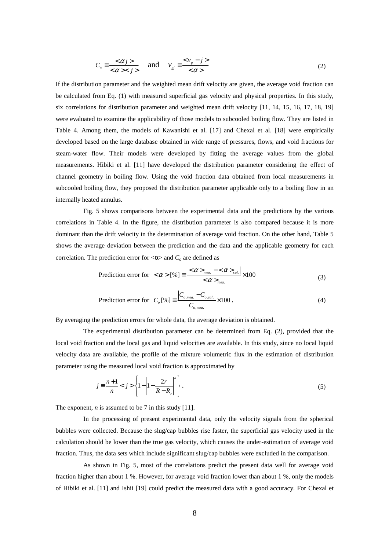$$
C_o \equiv \frac{<\alpha j>}{<\alpha \ll j>} \quad \text{and} \quad V_{gj} \equiv \frac{< v_g - j>}{<\alpha>} \tag{2}
$$

If the distribution parameter and the weighted mean drift velocity are given, the average void fraction can be calculated from Eq. (1) with measured superficial gas velocity and physical properties. In this study, six correlations for distribution parameter and weighted mean drift velocity [11, 14, 15, 16, 17, 18, 19] were evaluated to examine the applicability of those models to subcooled boiling flow. They are listed in Table 4. Among them, the models of Kawanishi et al. [17] and Chexal et al. [18] were empirically developed based on the large database obtained in wide range of pressures, flows, and void fractions for steam-water flow. Their models were developed by fitting the average values from the global measurements. Hibiki et al. [11] have developed the distribution parameter considering the effect of channel geometry in boiling flow. Using the void fraction data obtained from local measurements in subcooled boiling flow, they proposed the distribution parameter applicable only to a boiling flow in an internally heated annulus.

 Fig. 5 shows comparisons between the experimental data and the predictions by the various correlations in Table 4. In the figure, the distribution parameter is also compared because it is more dominant than the drift velocity in the determination of average void fraction. On the other hand, Table 5 shows the average deviation between the prediction and the data and the applicable geometry for each correlation. The prediction error for  $<\!\alpha\!\!>$  and  $C$ <sup>*o*</sup> are defined as

$$
\text{Prediction error for } < \alpha > [\%] \equiv \frac{\left| < \alpha >_{\text{mea.}} - < \alpha >_{\text{cal.}} \right|}{\left| < \alpha >_{\text{mea.}} \right|} \times 100 \tag{3}
$$

$$
\text{ Prediction error for } C_o \text{ } [\%] \equiv \frac{\left| C_{o, \text{mea.}} - C_{o, \text{cal.}} \right|}{C_{o, \text{mea.}}} \times 100 \,. \tag{4}
$$

By averaging the prediction errors for whole data, the average deviation is obtained.

The experimental distribution parameter can be determined from Eq. (2), provided that the local void fraction and the local gas and liquid velocities are available. In this study, since no local liquid velocity data are available, the profile of the mixture volumetric flux in the estimation of distribution parameter using the measured local void fraction is approximated by

$$
j = \frac{n+1}{n} < j > \left\{ 1 - \left| 1 - \frac{2r}{R - R_o} \right|^n \right\} . \tag{5}
$$

The exponent, *n* is assumed to be 7 in this study [11].

In the processing of present experimental data, only the velocity signals from the spherical bubbles were collected. Because the slug/cap bubbles rise faster, the superficial gas velocity used in the calculation should be lower than the true gas velocity, which causes the under-estimation of average void fraction. Thus, the data sets which include significant slug/cap bubbles were excluded in the comparison.

As shown in Fig. 5, most of the correlations predict the present data well for average void fraction higher than about 1 %. However, for average void fraction lower than about 1 %, only the models of Hibiki et al. [11] and Ishii [19] could predict the measured data with a good accuracy. For Chexal et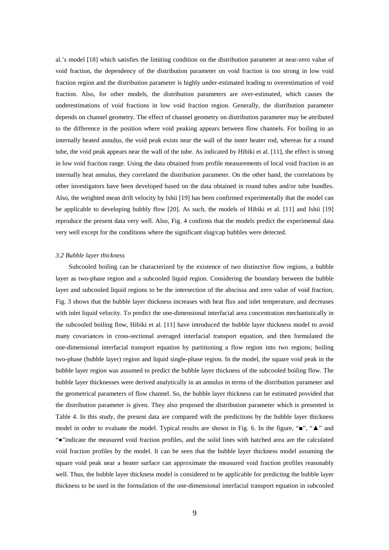al.'s model [18] which satisfies the limiting condition on the distribution parameter at near-zero value of void fraction, the dependency of the distribution parameter on void fraction is too strong in low void fraction region and the distribution parameter is highly under-estimated leading to overestimation of void fraction. Also, for other models, the distribution parameters are over-estimated, which causes the underestimations of void fractions in low void fraction region. Generally, the distribution parameter depends on channel geometry. The effect of channel geometry on distribution parameter may be attributed to the difference in the position where void peaking appears between flow channels. For boiling in an internally heated annulus, the void peak exists near the wall of the inner heater rod, whereas for a round tube, the void peak appears near the wall of the tube. As indicated by Hibiki et al. [11], the effect is strong in low void fraction range. Using the data obtained from profile measurements of local void fraction in an internally heat annulus, they correlated the distribution parameter. On the other hand, the correlations by other investigators have been developed based on the data obtained in round tubes and/or tube bundles. Also, the weighted mean drift velocity by Ishii [19] has been confirmed experimentally that the model can be applicable to developing bubbly flow [20]. As such, the models of Hibiki et al. [11] and Ishii [19] reproduce the present data very well. Also, Fig. 4 confirms that the models predict the experimental data very well except for the conditions where the significant slug/cap bubbles were detected.

# *3.2 Bubble layer thickness*

Subcooled boiling can be characterized by the existence of two distinctive flow regions, a bubble layer as two-phase region and a subcooled liquid region. Considering the boundary between the bubble layer and subcooled liquid regions to be the intersection of the abscissa and zero value of void fraction, Fig. 3 shows that the bubble layer thickness increases with heat flux and inlet temperature, and decreases with inlet liquid velocity. To predict the one-dimensional interfacial area concentration mechanistically in the subcooled boiling flow, Hibiki et al. [11] have introduced the bubble layer thickness model to avoid many covariances in cross-sectional averaged interfacial transport equation, and then formulated the one-dimensional interfacial transport equation by partitioning a flow region into two regions; boiling two-phase (bubble layer) region and liquid single-phase region. In the model, the square void peak in the bubble layer region was assumed to predict the bubble layer thickness of the subcooled boiling flow. The bubble layer thicknesses were derived analytically in an annulus in terms of the distribution parameter and the geometrical parameters of flow channel. So, the bubble layer thickness can be estimated provided that the distribution parameter is given. They also proposed the distribution parameter which is presented in Table 4. In this study, the present data are compared with the predictions by the bubble layer thickness model in order to evaluate the model. Typical results are shown in Fig. 6. In the figure, " $\bullet$ ", " $\blacktriangle$ " and "●"indicate the measured void fraction profiles, and the solid lines with hatched area are the calculated void fraction profiles by the model. It can be seen that the bubble layer thickness model assuming the square void peak near a heater surface can approximate the measured void fraction profiles reasonably well. Thus, the bubble layer thickness model is considered to be applicable for predicting the bubble layer thickness to be used in the formulation of the one-dimensional interfacial transport equation in subcooled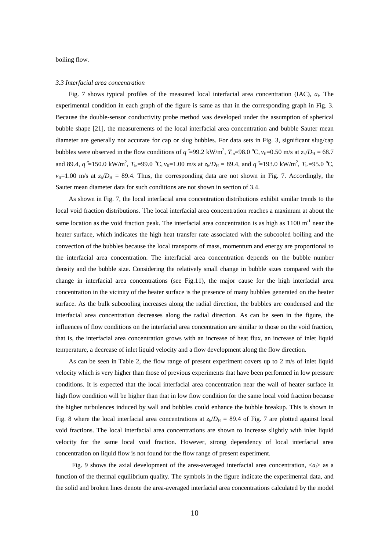boiling flow.

#### *3.3 Interfacial area concentration*

Fig. 7 shows typical profiles of the measured local interfacial area concentration (IAC), *a<sup>i</sup>* . The experimental condition in each graph of the figure is same as that in the corresponding graph in Fig. 3. Because the double-sensor conductivity probe method was developed under the assumption of spherical bubble shape [21], the measurements of the local interfacial area concentration and bubble Sauter mean diameter are generally not accurate for cap or slug bubbles. For data sets in Fig. 3, significant slug/cap bubbles were observed in the flow conditions of  $q''=99.2 \text{ kW/m}^2$ ,  $T_{in}=98.0 \text{ °C}$ ,  $v_{fi}=0.50 \text{ m/s}$  at  $z_h/D_H = 68.7 \text{ m/s}$ and 89.4,  $q''=150.0 \text{ kW/m}^2$ ,  $T_{\text{in}}=99.0 \text{ °C}$ ,  $v_{\text{fi}}=1.00 \text{ m/s}$  at  $z_h/D_H = 89.4$ , and  $q''=193.0 \text{ kW/m}^2$ ,  $T_{\text{in}}=95.0 \text{ °C}$ ,  $v_{fi}=1.00$  m/s at  $z_h/D_H = 89.4$ . Thus, the corresponding data are not shown in Fig. 7. Accordingly, the Sauter mean diameter data for such conditions are not shown in section of 3.4.

As shown in Fig. 7, the local interfacial area concentration distributions exhibit similar trends to the local void fraction distributions. The local interfacial area concentration reaches a maximum at about the same location as the void fraction peak. The interfacial area concentration is as high as  $1100 \text{ m}^{-1}$  near the heater surface, which indicates the high heat transfer rate associated with the subcooled boiling and the convection of the bubbles because the local transports of mass, momentum and energy are proportional to the interfacial area concentration. The interfacial area concentration depends on the bubble number density and the bubble size. Considering the relatively small change in bubble sizes compared with the change in interfacial area concentrations (see Fig.11), the major cause for the high interfacial area concentration in the vicinity of the heater surface is the presence of many bubbles generated on the heater surface. As the bulk subcooling increases along the radial direction, the bubbles are condensed and the interfacial area concentration decreases along the radial direction. As can be seen in the figure, the influences of flow conditions on the interfacial area concentration are similar to those on the void fraction, that is, the interfacial area concentration grows with an increase of heat flux, an increase of inlet liquid temperature, a decrease of inlet liquid velocity and a flow development along the flow direction.

As can be seen in Table 2, the flow range of present experiment covers up to 2 m/s of inlet liquid velocity which is very higher than those of previous experiments that have been performed in low pressure conditions. It is expected that the local interfacial area concentration near the wall of heater surface in high flow condition will be higher than that in low flow condition for the same local void fraction because the higher turbulences induced by wall and bubbles could enhance the bubble breakup. This is shown in Fig. 8 where the local interfacial area concentrations at  $z<sub>h</sub>/D<sub>H</sub> = 89.4$  of Fig. 7 are plotted against local void fractions. The local interfacial area concentrations are shown to increase slightly with inlet liquid velocity for the same local void fraction. However, strong dependency of local interfacial area concentration on liquid flow is not found for the flow range of present experiment.

Fig. 9 shows the axial development of the area-averaged interfacial area concentration,  $\langle a_i \rangle$  as a function of the thermal equilibrium quality. The symbols in the figure indicate the experimental data, and the solid and broken lines denote the area-averaged interfacial area concentrations calculated by the model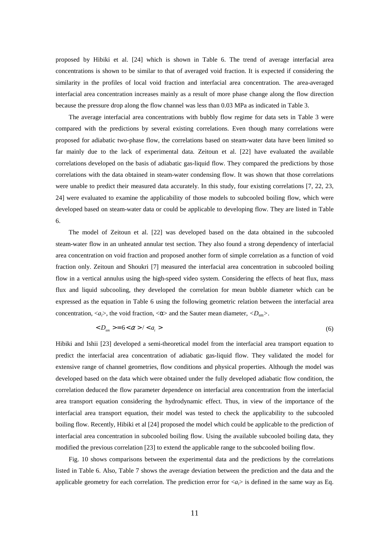proposed by Hibiki et al. [24] which is shown in Table 6. The trend of average interfacial area concentrations is shown to be similar to that of averaged void fraction. It is expected if considering the similarity in the profiles of local void fraction and interfacial area concentration. The area-averaged interfacial area concentration increases mainly as a result of more phase change along the flow direction because the pressure drop along the flow channel was less than 0.03 MPa as indicated in Table 3.

The average interfacial area concentrations with bubbly flow regime for data sets in Table 3 were compared with the predictions by several existing correlations. Even though many correlations were proposed for adiabatic two-phase flow, the correlations based on steam-water data have been limited so far mainly due to the lack of experimental data. Zeitoun et al. [22] have evaluated the available correlations developed on the basis of adiabatic gas-liquid flow. They compared the predictions by those correlations with the data obtained in steam-water condensing flow. It was shown that those correlations were unable to predict their measured data accurately. In this study, four existing correlations [7, 22, 23, 24] were evaluated to examine the applicability of those models to subcooled boiling flow, which were developed based on steam-water data or could be applicable to developing flow. They are listed in Table 6.

The model of Zeitoun et al. [22] was developed based on the data obtained in the subcooled steam-water flow in an unheated annular test section. They also found a strong dependency of interfacial area concentration on void fraction and proposed another form of simple correlation as a function of void fraction only. Zeitoun and Shoukri [7] measured the interfacial area concentration in subcooled boiling flow in a vertical annulus using the high-speed video system. Considering the effects of heat flux, mass flux and liquid subcooling, they developed the correlation for mean bubble diameter which can be expressed as the equation in Table 6 using the following geometric relation between the interfacial area concentration,  $\langle a_i \rangle$ , the void fraction,  $\langle \alpha \rangle$  and the Sauter mean diameter,  $\langle D_{\rm sm} \rangle$ .

$$
\langle D_{\rm sm} \rangle = 6 \langle \alpha \rangle / \langle a_{\rm i} \rangle \tag{6}
$$

Hibiki and Ishii [23] developed a semi-theoretical model from the interfacial area transport equation to predict the interfacial area concentration of adiabatic gas-liquid flow. They validated the model for extensive range of channel geometries, flow conditions and physical properties. Although the model was developed based on the data which were obtained under the fully developed adiabatic flow condition, the correlation deduced the flow parameter dependence on interfacial area concentration from the interfacial area transport equation considering the hydrodynamic effect. Thus, in view of the importance of the interfacial area transport equation, their model was tested to check the applicability to the subcooled boiling flow. Recently, Hibiki et al [24] proposed the model which could be applicable to the prediction of interfacial area concentration in subcooled boiling flow. Using the available subcooled boiling data, they modified the previous correlation [23] to extend the applicable range to the subcooled boiling flow.

Fig. 10 shows comparisons between the experimental data and the predictions by the correlations listed in Table 6. Also, Table 7 shows the average deviation between the prediction and the data and the applicable geometry for each correlation. The prediction error for  $\langle a \rangle$  is defined in the same way as Eq.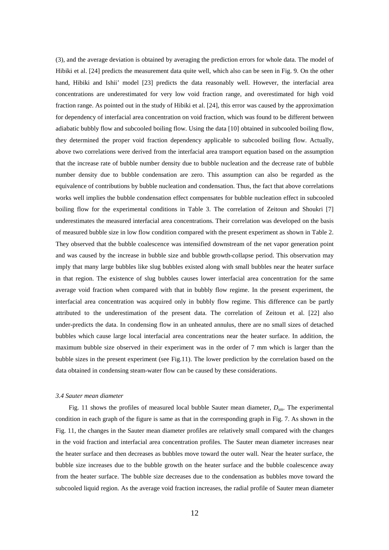(3), and the average deviation is obtained by averaging the prediction errors for whole data. The model of Hibiki et al. [24] predicts the measurement data quite well, which also can be seen in Fig. 9. On the other hand, Hibiki and Ishii' model [23] predicts the data reasonably well. However, the interfacial area concentrations are underestimated for very low void fraction range, and overestimated for high void fraction range. As pointed out in the study of Hibiki et al. [24], this error was caused by the approximation for dependency of interfacial area concentration on void fraction, which was found to be different between adiabatic bubbly flow and subcooled boiling flow. Using the data [10] obtained in subcooled boiling flow, they determined the proper void fraction dependency applicable to subcooled boiling flow. Actually, above two correlations were derived from the interfacial area transport equation based on the assumption that the increase rate of bubble number density due to bubble nucleation and the decrease rate of bubble number density due to bubble condensation are zero. This assumption can also be regarded as the equivalence of contributions by bubble nucleation and condensation. Thus, the fact that above correlations works well implies the bubble condensation effect compensates for bubble nucleation effect in subcooled boiling flow for the experimental conditions in Table 3. The correlation of Zeitoun and Shoukri [7] underestimates the measured interfacial area concentrations. Their correlation was developed on the basis of measured bubble size in low flow condition compared with the present experiment as shown in Table 2. They observed that the bubble coalescence was intensified downstream of the net vapor generation point and was caused by the increase in bubble size and bubble growth-collapse period. This observation may imply that many large bubbles like slug bubbles existed along with small bubbles near the heater surface in that region. The existence of slug bubbles causes lower interfacial area concentration for the same average void fraction when compared with that in bubbly flow regime. In the present experiment, the interfacial area concentration was acquired only in bubbly flow regime. This difference can be partly attributed to the underestimation of the present data. The correlation of Zeitoun et al. [22] also under-predicts the data. In condensing flow in an unheated annulus, there are no small sizes of detached bubbles which cause large local interfacial area concentrations near the heater surface. In addition, the maximum bubble size observed in their experiment was in the order of 7 mm which is larger than the bubble sizes in the present experiment (see Fig.11). The lower prediction by the correlation based on the data obtained in condensing steam-water flow can be caused by these considerations.

# *3.4 Sauter mean diameter*

Fig. 11 shows the profiles of measured local bubble Sauter mean diameter,  $D_{\text{sm}}$ . The experimental condition in each graph of the figure is same as that in the corresponding graph in Fig. 7. As shown in the Fig. 11, the changes in the Sauter mean diameter profiles are relatively small compared with the changes in the void fraction and interfacial area concentration profiles. The Sauter mean diameter increases near the heater surface and then decreases as bubbles move toward the outer wall. Near the heater surface, the bubble size increases due to the bubble growth on the heater surface and the bubble coalescence away from the heater surface. The bubble size decreases due to the condensation as bubbles move toward the subcooled liquid region. As the average void fraction increases, the radial profile of Sauter mean diameter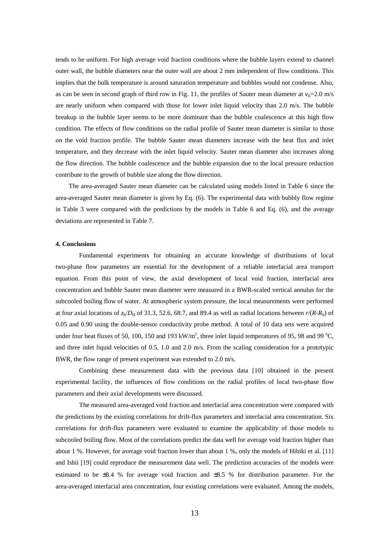tends to be uniform. For high average void fraction conditions where the bubble layers extend to channel outer wall, the bubble diameters near the outer wall are about 2 mm independent of flow conditions. This implies that the bulk temperature is around saturation temperature and bubbles would not condense. Also, as can be seen in second graph of third row in Fig. 11, the profiles of Sauter mean diameter at  $v_f = 2.0$  m/s are nearly uniform when compared with those for lower inlet liquid velocity than 2.0 m/s. The bubble breakup in the bubble layer seems to be more dominant than the bubble coalescence at this high flow condition. The effects of flow conditions on the radial profile of Sauter mean diameter is similar to those on the void fraction profile. The bubble Sauter mean diameters increase with the heat flux and inlet temperature, and they decrease with the inlet liquid velocity. Sauter mean diameter also increases along the flow direction. The bubble coalescence and the bubble expansion due to the local pressure reduction contribute to the growth of bubble size along the flow direction.

The area-averaged Sauter mean diameter can be calculated using models listed in Table 6 since the area-averaged Sauter mean diameter is given by Eq. (6). The experimental data with bubbly flow regime in Table 3 were compared with the predictions by the models in Table 6 and Eq. (6), and the average deviations are represented in Table 7.

## **4. Conclusions**

Fundamental experiments for obtaining an accurate knowledge of distributions of local two-phase flow parameters are essential for the development of a reliable interfacial area transport equation. From this point of view, the axial development of local void fraction, interfacial area concentration and bubble Sauter mean diameter were measured in a BWR-scaled vertical annulus for the subcooled boiling flow of water. At atmospheric system pressure, the local measurements were performed at four axial locations of  $z_h/D_H$  of 31.3, 52.6, 68.7, and 89.4 as well as radial locations between  $r/(R-R_0)$  of 0.05 and 0.90 using the double-sensor conductivity probe method. A total of 10 data sets were acquired under four heat fluxes of 50, 100, 150 and 193 kW/m<sup>2</sup>, three inlet liquid temperatures of 95, 98 and 99 °C, and three inlet liquid velocities of 0.5, 1.0 and 2.0 m/s. From the scaling consideration for a prototypic BWR, the flow range of present experiment was extended to 2.0 m/s.

Combining these measurement data with the previous data [10] obtained in the present experimental facility, the influences of flow conditions on the radial profiles of local two-phase flow parameters and their axial developments were discussed.

The measured area-averaged void fraction and interfacial area concentration were compared with the predictions by the existing correlations for drift-flux parameters and interfacial area concentration. Six correlations for drift-flux parameters were evaluated to examine the applicability of those models to subcooled boiling flow. Most of the correlations predict the data well for average void fraction higher than about 1 %. However, for average void fraction lower than about 1 %, only the models of Hibiki et al. [11] and Ishii [19] could reproduce the measurement data well. The prediction accuracies of the models were estimated to be ±8.4 % for average void fraction and ±8.5 % for distribution parameter. For the area-averaged interfacial area concentration, four existing correlations were evaluated. Among the models,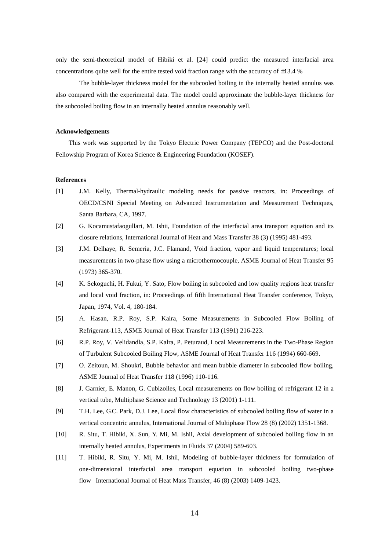only the semi-theoretical model of Hibiki et al. [24] could predict the measured interfacial area concentrations quite well for the entire tested void fraction range with the accuracy of  $\pm$ 13.4 %

The bubble-layer thickness model for the subcooled boiling in the internally heated annulus was also compared with the experimental data. The model could approximate the bubble-layer thickness for the subcooled boiling flow in an internally heated annulus reasonably well.

# **Acknowledgements**

This work was supported by the Tokyo Electric Power Company (TEPCO) and the Post-doctoral Fellowship Program of Korea Science & Engineering Foundation (KOSEF).

# **References**

- [1] J.M. Kelly, Thermal-hydraulic modeling needs for passive reactors, in: Proceedings of OECD/CSNI Special Meeting on Advanced Instrumentation and Measurement Techniques, Santa Barbara, CA, 1997.
- [2] G. Kocamustafaogullari, M. Ishii, Foundation of the interfacial area transport equation and its closure relations, International Journal of Heat and Mass Transfer 38 (3) (1995) 481-493.
- [3] J.M. Delhaye, R. Semeria, J.C. Flamand, Void fraction, vapor and liquid temperatures; local measurements in two-phase flow using a microthermocouple, ASME Journal of Heat Transfer 95 (1973) 365-370.
- [4] K. Sekoguchi, H. Fukui, Y. Sato, Flow boiling in subcooled and low quality regions heat transfer and local void fraction, in: Proceedings of fifth International Heat Transfer conference, Tokyo, Japan, 1974, Vol. 4, 180-184.
- [5] A. Hasan, R.P. Roy, S.P. Kalra, Some Measurements in Subcooled Flow Boiling of Refrigerant-113, ASME Journal of Heat Transfer 113 (1991) 216-223.
- [6] R.P. Roy, V. Velidandla, S.P. Kalra, P. Peturaud, Local Measurements in the Two-Phase Region of Turbulent Subcooled Boiling Flow, ASME Journal of Heat Transfer 116 (1994) 660-669.
- [7] O. Zeitoun, M. Shoukri, Bubble behavior and mean bubble diameter in subcooled flow boiling, ASME Journal of Heat Transfer 118 (1996) 110-116.
- [8] J. Garnier, E. Manon, G. Cubizolles, Local measurements on flow boiling of refrigerant 12 in a vertical tube, Multiphase Science and Technology 13 (2001) 1-111.
- [9] T.H. Lee, G.C. Park, D.J. Lee, Local flow characteristics of subcooled boiling flow of water in a vertical concentric annulus, International Journal of Multiphase Flow 28 (8) (2002) 1351-1368.
- [10] R. Situ, T. Hibiki, X. Sun, Y. Mi, M. Ishii, Axial development of subcooled boiling flow in an internally heated annulus, Experiments in Fluids 37 (2004) 589-603.
- [11] T. Hibiki, R. Situ, Y. Mi, M. Ishii, Modeling of bubble-layer thickness for formulation of one-dimensional interfacial area transport equation in subcooled boiling two-phase flow International Journal of Heat Mass Transfer, 46 (8) (2003) 1409-1423.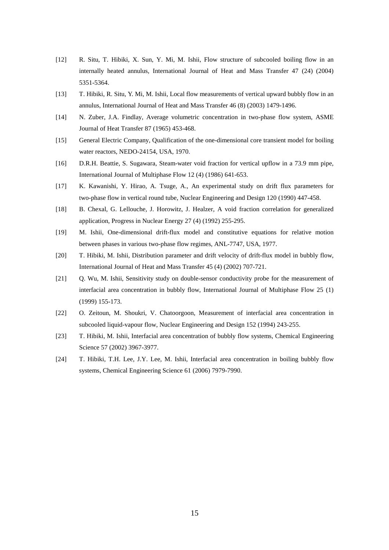- [12] R. Situ, T. Hibiki, X. Sun, Y. Mi, M. Ishii, Flow structure of subcooled boiling flow in an internally heated annulus, International Journal of Heat and Mass Transfer 47 (24) (2004) 5351-5364.
- [13] T. Hibiki, R. Situ, Y. Mi, M. Ishii, Local flow measurements of vertical upward bubbly flow in an annulus, International Journal of Heat and Mass Transfer 46 (8) (2003) 1479-1496.
- [14] N. Zuber, J.A. Findlay, Average volumetric concentration in two-phase flow system, ASME Journal of Heat Transfer 87 (1965) 453-468.
- [15] General Electric Company, Qualification of the one-dimensional core transient model for boiling water reactors, NEDO-24154, USA, 1970.
- [16] D.R.H. Beattie, S. Sugawara, Steam-water void fraction for vertical upflow in a 73.9 mm pipe, International Journal of Multiphase Flow 12 (4) (1986) 641-653.
- [17] K. Kawanishi, Y. Hirao, A. Tsuge, A., An experimental study on drift flux parameters for two-phase flow in vertical round tube, Nuclear Engineering and Design 120 (1990) 447-458.
- [18] B. Chexal, G. Lellouche, J. Horowitz, J. Healzer, A void fraction correlation for generalized application, Progress in Nuclear Energy 27 (4) (1992) 255-295.
- [19] M. Ishii, One-dimensional drift-flux model and constitutive equations for relative motion between phases in various two-phase flow regimes, ANL-7747, USA, 1977.
- [20] T. Hibiki, M. Ishii, Distribution parameter and drift velocity of drift-flux model in bubbly flow, International Journal of Heat and Mass Transfer 45 (4) (2002) 707-721.
- [21] Q. Wu, M. Ishii, Sensitivity study on double-sensor conductivity probe for the measurement of interfacial area concentration in bubbly flow, International Journal of Multiphase Flow 25 (1) (1999) 155-173.
- [22] O. Zeitoun, M. Shoukri, V. Chatoorgoon, Measurement of interfacial area concentration in subcooled liquid-vapour flow, Nuclear Engineering and Design 152 (1994) 243-255.
- [23] T. Hibiki, M. Ishii, Interfacial area concentration of bubbly flow systems, Chemical Engineering Science 57 (2002) 3967-3977.
- [24] T. Hibiki, T.H. Lee, J.Y. Lee, M. Ishii, Interfacial area concentration in boiling bubbly flow systems, Chemical Engineering Science 61 (2006) 7979-7990.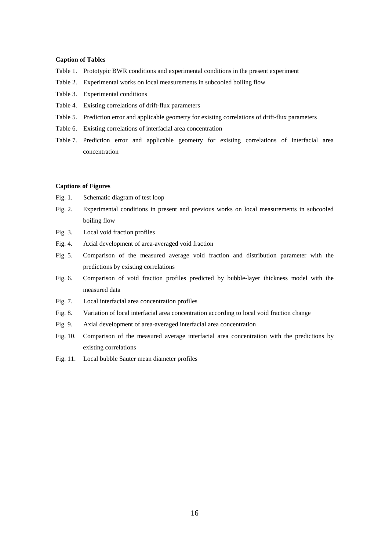# **Caption of Tables**

- Table 1. Prototypic BWR conditions and experimental conditions in the present experiment
- Table 2. Experimental works on local measurements in subcooled boiling flow
- Table 3. Experimental conditions
- Table 4. Existing correlations of drift-flux parameters
- Table 5. Prediction error and applicable geometry for existing correlations of drift-flux parameters
- Table 6. Existing correlations of interfacial area concentration
- Table 7. Prediction error and applicable geometry for existing correlations of interfacial area concentration

# **Captions of Figures**

- Fig. 1. Schematic diagram of test loop
- Fig. 2. Experimental conditions in present and previous works on local measurements in subcooled boiling flow
- Fig. 3. Local void fraction profiles
- Fig. 4. Axial development of area-averaged void fraction
- Fig. 5. Comparison of the measured average void fraction and distribution parameter with the predictions by existing correlations
- Fig. 6. Comparison of void fraction profiles predicted by bubble-layer thickness model with the measured data
- Fig. 7. Local interfacial area concentration profiles
- Fig. 8. Variation of local interfacial area concentration according to local void fraction change
- Fig. 9. Axial development of area-averaged interfacial area concentration
- Fig. 10. Comparison of the measured average interfacial area concentration with the predictions by existing correlations
- Fig. 11. Local bubble Sauter mean diameter profiles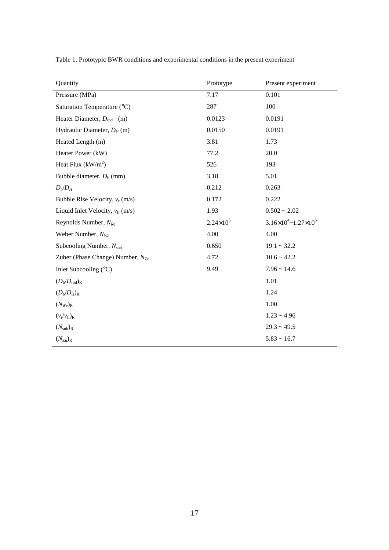|  | Table 1. Prototypic BWR conditions and experimental conditions in the present experiment |  |  |
|--|------------------------------------------------------------------------------------------|--|--|
|  |                                                                                          |  |  |

| Quantity                              | Prototype            | Present experiment                      |
|---------------------------------------|----------------------|-----------------------------------------|
| Pressure (MPa)                        | 7.17                 | 0.101                                   |
| Saturation Temperature (°C)           | 287                  | 100                                     |
| Heater Diameter, $D_{\text{rod}}$ (m) | 0.0123               | 0.0191                                  |
| Hydraulic Diameter, $D_H$ (m)         | 0.0150               | 0.0191                                  |
| Heated Length (m)                     | 3.81                 | 1.73                                    |
| Heater Power (kW)                     | 77.2                 | 20.0                                    |
| Heat Flux $(kW/m2)$                   | 526                  | 193                                     |
| Bubble diameter, $D_b$ (mm)           | 3.18                 | 5.01                                    |
| $D_b/D_H$                             | 0.212                | 0.263                                   |
| Bubble Rise Velocity, $v_r$ (m/s)     | 0.172                | 0.222                                   |
| Liquid Inlet Velocity, $v_{fi}$ (m/s) | 1.93                 | $0.502 \sim 2.02$                       |
| Reynolds Number, $N_{Re}$             | $2.24 \times 10^{5}$ | $3.16\times10^{4}$ ~ $1.27\times10^{5}$ |
| Weber Number, $N_{We}$                | 4.00                 | 4.00                                    |
| Subcooling Number, $N_{sub}$          | 0.650                | $19.1 - 32.2$                           |
| Zuber (Phase Change) Number, $N_{Zu}$ | 4.72                 | $10.6 \sim 42.2$                        |
| Inlet Subcooling $(^{\circ}C)$        | 9.49                 | $7.96 \sim 14.6$                        |
| $(D_{\rm b}/D_{\rm rod})_{\rm R}$     |                      | 1.01                                    |
| $(D_{\rm b}/D_{\rm H})_{\rm R}$       |                      | 1.24                                    |
| $(N_{We})_R$                          |                      | 1.00                                    |
| $(v_r/v_{fi})_R$                      |                      | $1.23 \sim 4.96$                        |
| $(N_{sub})_R$                         |                      | $29.3 \sim 49.5$                        |
| $(N_{\rm Zu})_{\rm R}$                |                      | $5.83 \sim 16.7$                        |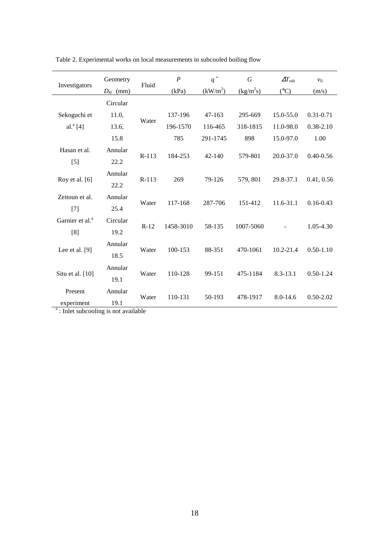| Investigators                                                  | Geometry         | Fluid   | $\boldsymbol{P}$ | q''                  | $\cal G$    | $\varDelta T_{\mathrm{sub}}$ | $v_{fi}$      |
|----------------------------------------------------------------|------------------|---------|------------------|----------------------|-------------|------------------------------|---------------|
|                                                                | $D_H$ (mm)       |         | (kPa)            | (kW/m <sup>2</sup> ) | $(kg/m^2s)$ | $({}^{\circ}C)$              | (m/s)         |
|                                                                | Circular         |         |                  |                      |             |                              |               |
| Sekoguchi et                                                   | 11.0,            | Water   | 137-196          | 47-163               | 295-669     | 15.0-55.0                    | $0.31 - 0.71$ |
| al. $^{a}$ [4]                                                 | 13.6,            |         | 196-1570         | 116-465              | 318-1815    | 11.0-98.0                    | $0.38 - 2.10$ |
|                                                                | 15.8             |         | 785              | 291-1745             | 898         | 15.0-97.0                    | 1.00          |
| Hasan et al.<br>$[5]$                                          | Annular<br>22.2  | $R-113$ | 184-253          | 42-140               | 579-801     | 20.0-37.0                    | $0.40 - 0.56$ |
| Roy et al. [6]                                                 | Annular<br>22.2  | $R-113$ | 269              | 79-126               | 579, 801    | 29.8-37.1                    | 0.41, 0.56    |
| Zeitoun et al.<br>$[7]$                                        | Annular<br>25.4  | Water   | 117-168          | 287-706              | 151-412     | $11.6 - 31.1$                | $0.16 - 0.43$ |
| Garnier et al. <sup>a</sup><br>[8]                             | Circular<br>19.2 | $R-12$  | 1458-3010        | 58-135               | 1007-5060   |                              | 1.05-4.30     |
| Lee et al. $[9]$                                               | Annular<br>18.5  | Water   | 100-153          | 88-351               | 470-1061    | 10.2-21.4                    | $0.50 - 1.10$ |
| Situ et al. [10]                                               | Annular<br>19.1  | Water   | 110-128          | 99-151               | 475-1184    | 8.3-13.1                     | $0.50 - 1.24$ |
| Present                                                        | Annular          | Water   | 110-131          | 50-193               | 478-1917    | 8.0-14.6                     | $0.50 - 2.02$ |
| experiment<br><sup>a</sup> : Inlet subcooling is not available | 19.1             |         |                  |                      |             |                              |               |

Table 2. Experimental works on local measurements in subcooled boiling flow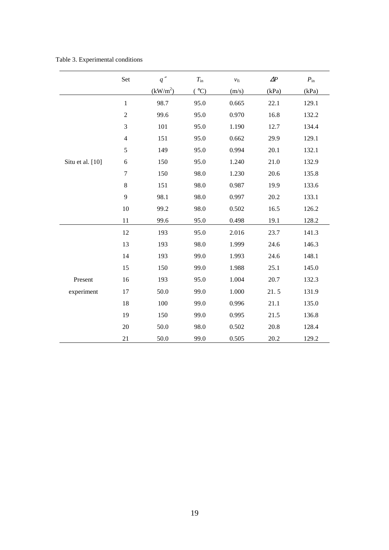Table 3. Experimental conditions

|                  | Set              | $q''$                | $T_{\rm in}$ | $\ensuremath{\nu_{\mathrm{fi}}}$ | $\Delta P$ | $P_{\rm in}$ |
|------------------|------------------|----------------------|--------------|----------------------------------|------------|--------------|
|                  |                  | (kW/m <sup>2</sup> ) | (°C)         | (m/s)                            | (kPa)      | (kPa)        |
|                  | $1\,$            | 98.7                 | 95.0         | 0.665                            | 22.1       | 129.1        |
|                  | $\sqrt{2}$       | 99.6                 | 95.0         | 0.970                            | 16.8       | 132.2        |
|                  | 3                | 101                  | 95.0         | 1.190                            | 12.7       | 134.4        |
|                  | $\overline{4}$   | 151                  | 95.0         | 0.662                            | 29.9       | 129.1        |
|                  | $\sqrt{5}$       | 149                  | 95.0         | 0.994                            | 20.1       | 132.1        |
| Situ et al. [10] | 6                | 150                  | 95.0         | 1.240                            | 21.0       | 132.9        |
|                  | $\boldsymbol{7}$ | 150                  | 98.0         | 1.230                            | 20.6       | 135.8        |
|                  | $\,8\,$          | 151                  | 98.0         | 0.987                            | 19.9       | 133.6        |
|                  | 9                | 98.1                 | 98.0         | 0.997                            | 20.2       | 133.1        |
|                  | 10               | 99.2                 | 98.0         | 0.502                            | 16.5       | 126.2        |
|                  | 11               | 99.6                 | 95.0         | 0.498                            | 19.1       | 128.2        |
|                  | 12               | 193                  | 95.0         | 2.016                            | 23.7       | 141.3        |
|                  | 13               | 193                  | 98.0         | 1.999                            | 24.6       | 146.3        |
|                  | 14               | 193                  | 99.0         | 1.993                            | 24.6       | 148.1        |
|                  | 15               | 150                  | 99.0         | 1.988                            | 25.1       | 145.0        |
| Present          | 16               | 193                  | 95.0         | 1.004                            | 20.7       | 132.3        |
| experiment       | 17               | 50.0                 | 99.0         | 1.000                            | 21.5       | 131.9        |
|                  | 18               | 100                  | 99.0         | 0.996                            | 21.1       | 135.0        |
|                  | 19               | 150                  | 99.0         | 0.995                            | 21.5       | 136.8        |
|                  | 20               | 50.0                 | 98.0         | 0.502                            | 20.8       | 128.4        |
|                  | 21               | 50.0                 | 99.0         | 0.505                            | 20.2       | 129.2        |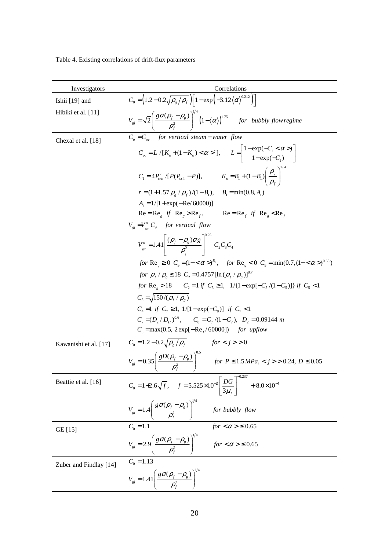Table 4. Existing correlations of drift-flux parameters

| Investigators          | Correlations                                                                                                                                                               |  |  |  |  |
|------------------------|----------------------------------------------------------------------------------------------------------------------------------------------------------------------------|--|--|--|--|
| Ishii [19] and         | $C_0 = (1.2 - 0.2\sqrt{\rho_g/\rho_f})\left[1 - \exp(-3.12\langle\alpha\rangle^{0.212})\right]$                                                                            |  |  |  |  |
| Hibiki et al. [11]     | $V_{gi} = \sqrt{2} \left( \frac{g \sigma (\rho_f - \rho_g)}{\rho_f^2} \right)^{1/4} \left( 1 - \langle \alpha \rangle \right)^{1.75}$ for bubbly flow regime               |  |  |  |  |
| Chexal et al. [18]     | $C_{o} = C_{ov}$ for vertical steam – water flow                                                                                                                           |  |  |  |  |
|                        | $C_{ov} = L/[K_o + (1 - K_o) < \alpha > 1], \qquad L = \left  \frac{1 - \exp(-C_1 < \alpha > 1)}{1 - \exp(-C_1)} \right $                                                  |  |  |  |  |
|                        | $C_1 = 4P_{crit}^2/[P(P_{crit} - P)],$ $K_o = B_1 + (1 - B_1) \left(\frac{\rho_g}{\rho_c}\right)^{1/4}$                                                                    |  |  |  |  |
|                        | $r = (1+1.57 \rho_{\rm g} / \rho_{\rm f})/(1-B_{\rm l})$ , $B_{\rm l} = \min(0.8, A_{\rm l})$                                                                              |  |  |  |  |
|                        | $A_1 = 1/[1 + \exp(-Re/60000)]$                                                                                                                                            |  |  |  |  |
|                        | $Re = Re_{e}$ if $Re_{e} > Re_{f}$ , $Re = Re_{f}$ if $Re_{e} < Re_{f}$                                                                                                    |  |  |  |  |
|                        | $V_{qi} = V_{\perp}^{\circ} C_{9}$ for vertical flow                                                                                                                       |  |  |  |  |
|                        | $V_{s}^{o}$ =1.41 $\left[\frac{(\rho_f - \rho_s)\sigma g}{\rho^2}\right]^{0.25} C_2 C_3 C_4$                                                                               |  |  |  |  |
|                        | for Re <sub>p</sub> $\geq 0$ C <sub>9</sub> = $(1 - \langle \alpha \rangle)^{B_1}$ , for Re <sub>p</sub> < 0 C <sub>9</sub> = min(0.7, (1 - < $\alpha$ ) <sup>0.65</sup> ) |  |  |  |  |
|                        | for $\rho_f / \rho_s \le 18 C_2 = 0.4757 [\ln (\rho_f / \rho_s)]^{0.7}$                                                                                                    |  |  |  |  |
|                        | for $\text{Re}_g > 18$ $C_2 = 1$ if $C_5 \ge 1$ , $1/{1 - \exp[-C_5/(1-C_5)]}$ if $C_5 < 1$                                                                                |  |  |  |  |
|                        | $C_5 = \sqrt{150/(\rho_f / \rho_s)}$                                                                                                                                       |  |  |  |  |
|                        | $C_4 = 1$ if $C_7 \ge 1$ , $1/[1 - \exp(-C_8)]$ if $C_7 < 1$                                                                                                               |  |  |  |  |
|                        | $C_1 = (D_1/D_{\mu})^{0.6}$ , $C_8 = C_7/(1-C_7)$ , $D_2 = 0.09144$ m<br>$C_3 = \max(0.5, 2 \exp[-\text{Re}_f/60000])$ for upflow                                          |  |  |  |  |
|                        | $C_0 = 1.2 - 0.2 \sqrt{\rho_s / \rho_f}$ for $\lt j > 0$                                                                                                                   |  |  |  |  |
| Kawanishi et al. [17]  |                                                                                                                                                                            |  |  |  |  |
|                        | $V_{gi} = 0.35 \left( \frac{gD(\rho_f - \rho_g)}{\rho_g^2} \right)^{3/2}$ for $P \le 1.5 MPa, < j > 0.24, D \le 0.05$                                                      |  |  |  |  |
| Beattie et al. [16]    | $C_0 = 1 + 2.6\sqrt{f}$ , $f = 5.525 \times 10^{-2} \left[ \frac{DG}{3\mu_f} \right]^{-0.237} + 8.0 \times 10^{-4}$                                                        |  |  |  |  |
|                        | $V_{gi} = 1.4 \left( \frac{g \sigma (\rho_f - \rho_g)}{\rho_f^2} \right)^{1/4}$ for bubbly flow<br>$C_0 = 1.1$ for $< \alpha > \le 0.65$                                   |  |  |  |  |
| GE [15]                |                                                                                                                                                                            |  |  |  |  |
|                        | $V_{si}=2.9\left(\frac{g\sigma(\rho_{f}-\rho_{s})}{\rho_{f}^{2}}\right)^{1/4} \qquad for <\alpha>\leq0.65$                                                                 |  |  |  |  |
| Zuber and Findlay [14] | $C_0 = 1.13$                                                                                                                                                               |  |  |  |  |
|                        | $V_{gi} = 1.41 \left( \frac{g \sigma (\rho_f - \rho_g)}{\rho_f^2} \right)^{1/4}$                                                                                           |  |  |  |  |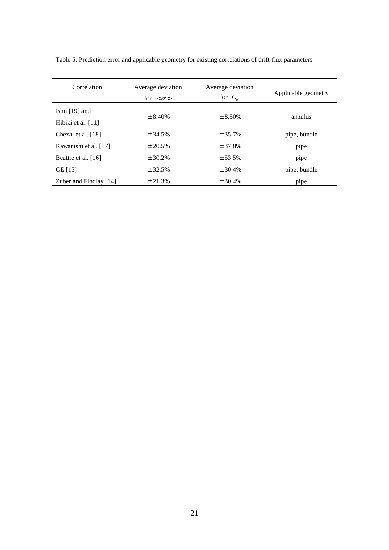| Correlation            | Average deviation<br>for $\langle \alpha \rangle$ | Average deviation<br>for $C_{\scriptscriptstyle\alpha}$ | Applicable geometry |
|------------------------|---------------------------------------------------|---------------------------------------------------------|---------------------|
| Ishii $[19]$ and       | $\pm 8.40\%$                                      | $\pm 8.50\%$                                            | annulus             |
| Hibiki et al. $[11]$   |                                                   |                                                         |                     |
| Chexal et al. [18]     | ± 34.5%                                           | ± 35.7%                                                 | pipe, bundle        |
| Kawanishi et al. [17]  | ± 20.5%                                           | ± 37.8%                                                 | pipe                |
| Beattie et al. [16]    | ± 30.2%                                           | ± 53.5%                                                 | pipe                |
| GE [15]                | ± 32.5%                                           | ± 30.4%                                                 | pipe, bundle        |
| Zuber and Findlay [14] | ± 21.3%                                           | ± 30.4%                                                 | pipe                |

Table 5. Prediction error and applicable geometry for existing correlations of drift-flux parameters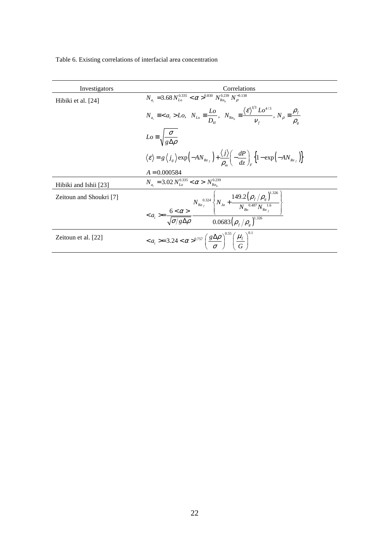Table 6. Existing correlations of interfacial area concentration

| Investigators           | Correlations                                                                                                                                                                                                                                      |
|-------------------------|---------------------------------------------------------------------------------------------------------------------------------------------------------------------------------------------------------------------------------------------------|
| Hibiki et al. [24]      | $N_a = 3.68 N_{Lo}^{0.335} < \alpha >_{0.830}^{0.830} N_{Re}^{0.239} N_{o}^{-0.138}$                                                                                                                                                              |
|                         | $N_{a_i} \equiv \langle a_i \rangle L_o, N_{Lo} \equiv \frac{L_o}{D_{o}}$ , $N_{Re_b} \equiv \frac{\langle \varepsilon \rangle^{N^3} L_o^{4/3}}{V_{o}}$ , $N_{\rho} \equiv \frac{\rho_f}{\rho_{o}}$                                               |
|                         | $Lo \equiv \sqrt{\frac{\sigma}{g \Delta \rho}}$                                                                                                                                                                                                   |
|                         | $\langle \varepsilon \rangle = g \langle j_{g} \rangle \exp \left( - A N_{Re_f} \right) + \frac{\langle j \rangle}{\rho} \left( - \frac{dP}{dz} \right)_{\sim} \left\{ 1 - \exp \left( - A N_{Re_f} \right) \right\}$                             |
|                         | $A = 0.000584$                                                                                                                                                                                                                                    |
| Hibiki and Ishii [23]   | $N_a = 3.02 N_{Ia}^{0.335} < \alpha > N_{Re}^{0.239}$                                                                                                                                                                                             |
| Zeitoun and Shoukri [7] | $< a_i > = \frac{6 < \alpha >}{\sqrt{\sigma/g\Delta\rho}} \frac{N_{\text{Re}_f}^{0.324} \left\{ N_{Ja} + \frac{149.2\left(\rho_f/\rho_g\right)^{1.56}}{N_{Bo}^{0.487} N_{\text{Re}_f}^{1.6}} \right\}}{0.0683\left(\rho_f/\rho_g\right)^{1.326}}$ |
| Zeitoun et al. [22]     | $< a_i > = 3.24 < \alpha >^{0.757} \left( \frac{g \Delta \rho}{\sigma} \right)^{0.55} \left( \frac{\mu_f}{\sigma} \right)^{0.1}$                                                                                                                  |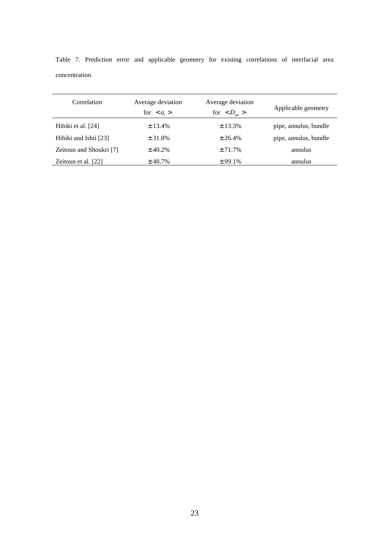| Correlation             | Average deviation<br>for $\langle a_{i} \rangle$ | Average deviation<br>for $ >$ | Applicable geometry   |
|-------------------------|--------------------------------------------------|-------------------------------|-----------------------|
| Hibiki et al. [24]      | ± 13.4%                                          | ± 13.3%                       | pipe, annulus, bundle |
| Hibiki and Ishii [23]   | ± 31.8%                                          | ± 26.4%                       | pipe, annulus, bundle |
| Zeitoun and Shoukri [7] | ± 40.2%                                          | ± 71.7%                       | annulus               |
| Zeitoun et al. [22]     | ± 48.7%                                          | ± 99.1%                       | annulus               |

Table 7. Prediction error and applicable geometry for existing correlations of interfacial area concentration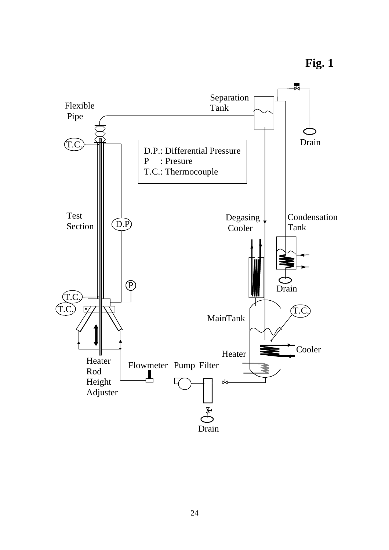**Fig. 1**

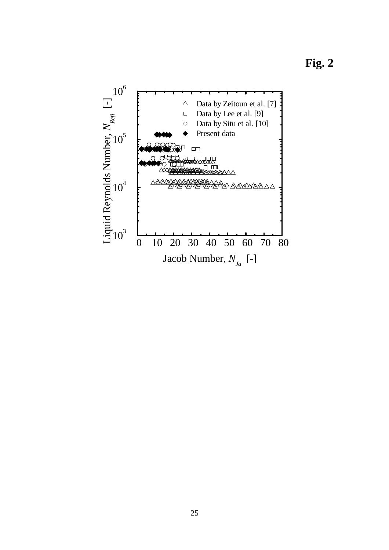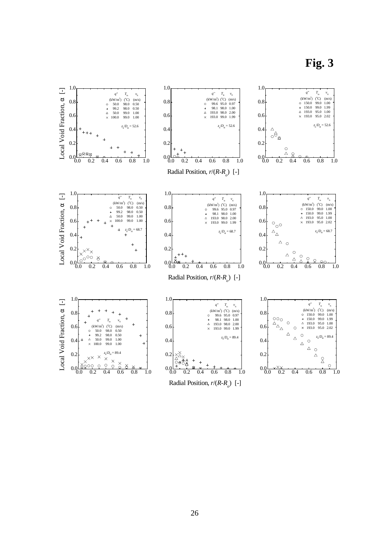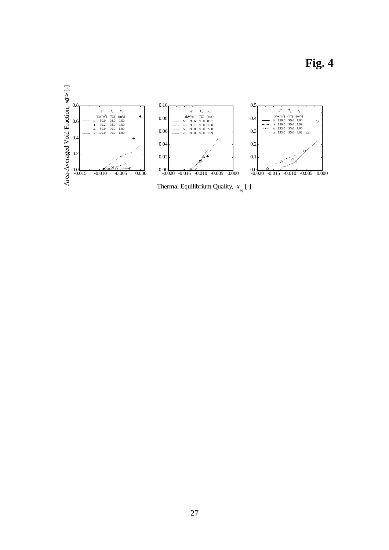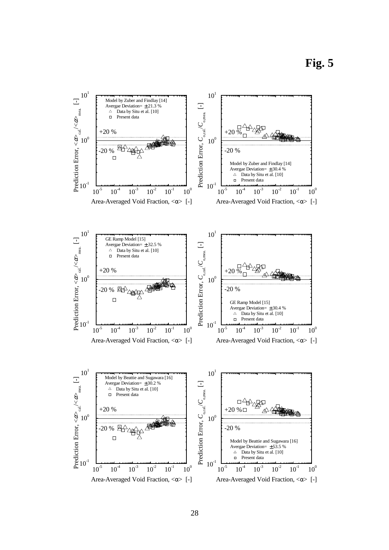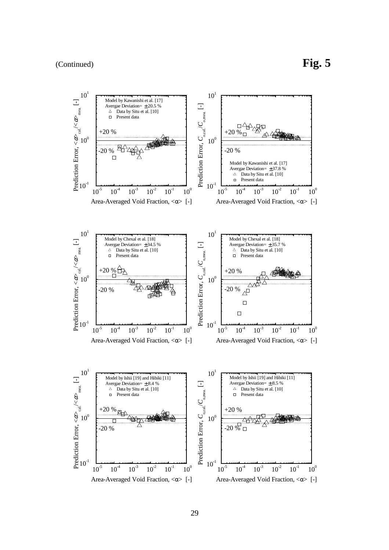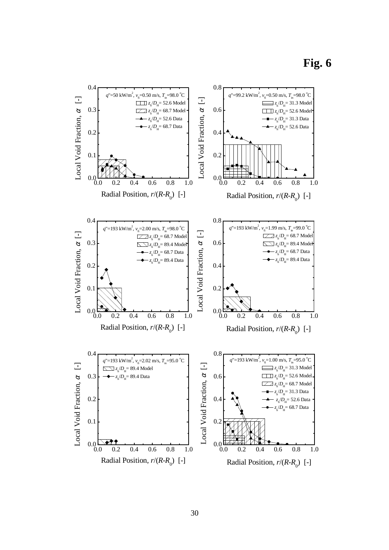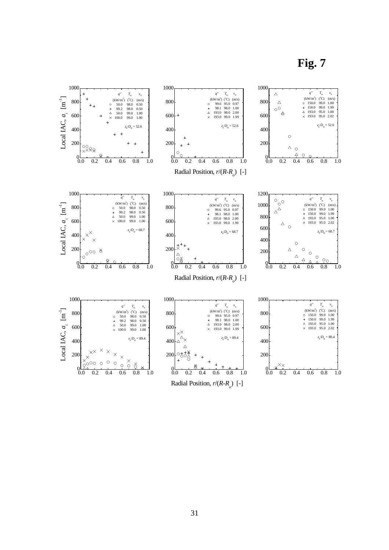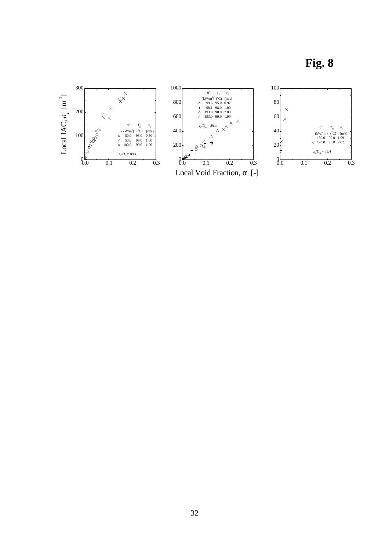**Fig. 8** 

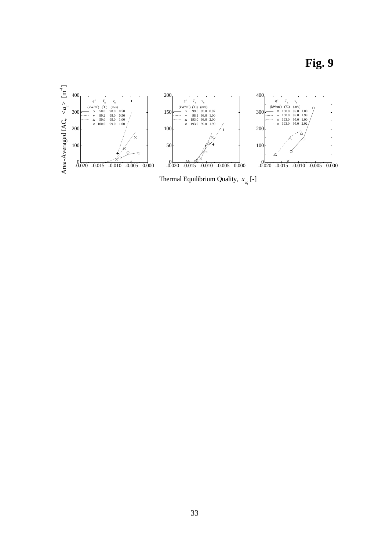

Thermal Equilibrium Quality, *x eq* [-]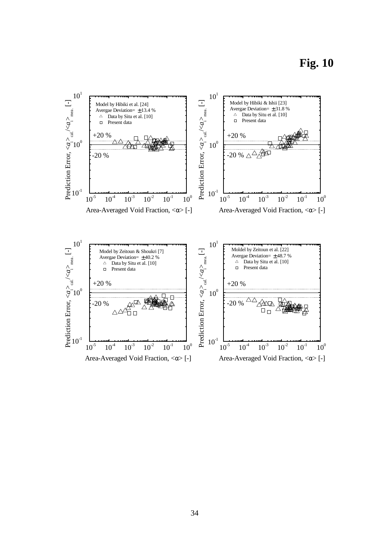